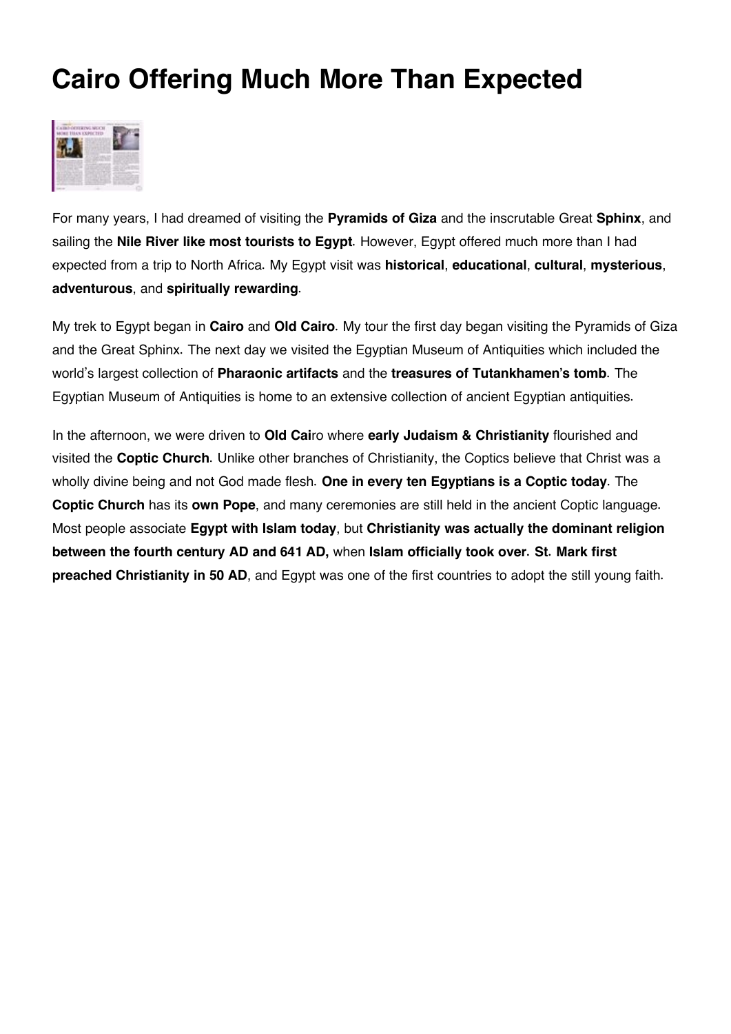## **Cairo Offering Much More Than Expected**



For many years, I had dreamed of visiting the **Pyramids of Giza** and the inscrutable Great **Sphinx**, and sailing the **Nile River like most tourists to Egypt**. However, Egypt offered much more than I had expected from a trip to North Africa. My Egypt visit was **historical**, **educational**, **cultural**, **mysterious**, **adventurous**, and **spiritually rewarding**.

My trek to Egypt began in **Cairo** and **Old Cairo**. My tour the first day began visiting the Pyramids of Giza and the Great Sphinx. The next day we visited the Egyptian Museum of Antiquities which included the world's largest collection of **Pharaonic artifacts** and the **treasures of Tutankhamen's tomb**. The Egyptian Museum of Antiquities is home to an extensive collection of ancient Egyptian antiquities.

In the afternoon, we were driven to **Old Cai**ro where **early Judaism & Christianity** flourished and visited the **Coptic Church**. Unlike other branches of Christianity, the Coptics believe that Christ was a wholly divine being and not God made flesh. **One in every ten Egyptians is a Coptic today**. The **Coptic Church** has its **own Pope**, and many ceremonies are still held in the ancient Coptic language. Most people associate **Egypt with Islam today**, but **Christianity was actually the dominant religion between the fourth century AD and 641 AD,** when **Islam officially took over. St. Mark first preached Christianity in 50 AD**, and Egypt was one of the first countries to adopt the still young faith.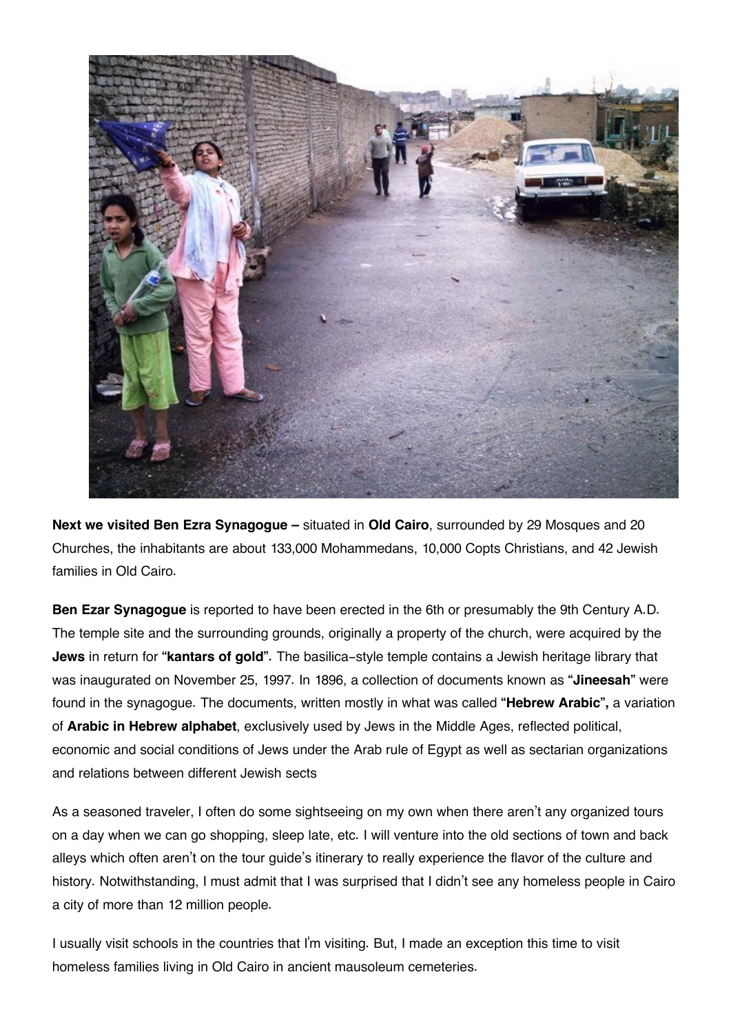

**Next we visited Ben Ezra Synagogue –** situated in **Old Cairo**, surrounded by 29 Mosques and 20 Churches, the inhabitants are about 133,000 Mohammedans, 10,000 Copts Christians, and 42 Jewish families in Old Cairo.

**Ben Ezar Synagogue** is reported to have been erected in the 6th or presumably the 9th Century A.D. The temple site and the surrounding grounds, originally a property of the church, were acquired by the **Jews** in return for **"kantars of gold".** The basilica-style temple contains a Jewish heritage library that was inaugurated on November 25, 1997. In 1896, a collection of documents known as **"Jineesah"** were found in the synagogue. The documents, written mostly in what was called **"Hebrew Arabic",** a variation of **Arabic in Hebrew alphabet**, exclusively used by Jews in the Middle Ages, reflected political, economic and social conditions of Jews under the Arab rule of Egypt as well as sectarian organizations and relations between different Jewish sects

As a seasoned traveler, I often do some sightseeing on my own when there aren't any organized tours on a day when we can go shopping, sleep late, etc. I will venture into the old sections of town and back alleys which often aren't on the tour guide's itinerary to really experience the flavor of the culture and history. Notwithstanding, I must admit that I was surprised that I didn't see any homeless people in Cairo a city of more than 12 million people.

I usually visit schools in the countries that I'm visiting. But, I made an exception this time to visit homeless families living in Old Cairo in ancient mausoleum cemeteries.